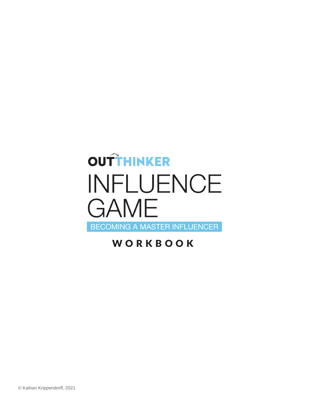# OUTTHINKER INFLUENCE **GAME** BECOMING A MASTER INFLUENCER

### WORKBOOK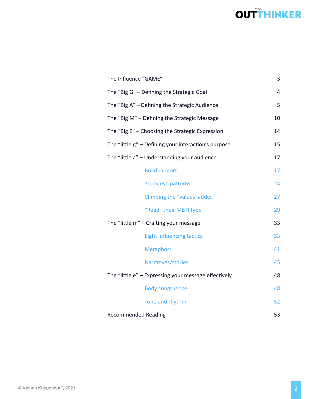| The Influence "GAME"                                       |    |  |  |  |  |
|------------------------------------------------------------|----|--|--|--|--|
| The "Big G" - Defining the Strategic Goal                  |    |  |  |  |  |
| The "Big A" - Defining the Strategic Audience              | 5  |  |  |  |  |
| The "Big M" - Defining the Strategic Message               | 10 |  |  |  |  |
| The "Big E" - Choosing the Strategic Expression            | 14 |  |  |  |  |
| The "little g" - Defining your interaction's purpose       | 15 |  |  |  |  |
| The "little a" - Understanding your audience<br>17         |    |  |  |  |  |
| <b>Build rapport</b>                                       | 17 |  |  |  |  |
| Study eye patterns                                         | 24 |  |  |  |  |
| Climbing the "values ladder"                               | 27 |  |  |  |  |
| "Read" their MBTI type                                     | 29 |  |  |  |  |
| The "little m" - Crafting your message                     |    |  |  |  |  |
| <b>Eight influencing tactics</b>                           | 33 |  |  |  |  |
| <b>Metaphors</b>                                           | 41 |  |  |  |  |
| Narratives/stories                                         | 45 |  |  |  |  |
| The "little e" - Expressing your message effectively<br>48 |    |  |  |  |  |
| <b>Body congruence</b>                                     | 48 |  |  |  |  |
| Tone and rhythm                                            | 52 |  |  |  |  |
| <b>Recommended Reading</b>                                 | 53 |  |  |  |  |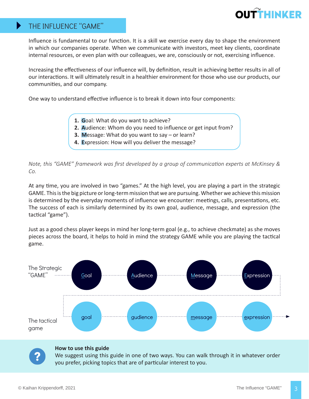

### THE INFLUENCE "GAME"

 $\blacktriangleright$ 

Influence is fundamental to our function. It is a skill we exercise every day to shape the environment in which our companies operate. When we communicate with investors, meet key clients, coordinate internal resources, or even plan with our colleagues, we are, consciously or not, exercising influence.

Increasing the effectiveness of our influence will, by definition, result in achieving better results in all of our interactions. It will ultimately result in a healthier environment for those who use our products, our communities, and our company.

One way to understand effective influence is to break it down into four components:

- **1. G**oal: What do you want to achieve?
- **2. A**udience: Whom do you need to influence or get input from?
- **3. M**essage: What do you want to say or learn?
- **4. E**xpression: How will you deliver the message?

*Note, this "GAME" framework was first developed by a group of communication experts at McKinsey & Co.* 

At any time, you are involved in two "games." At the high level, you are playing a part in the strategic GAME. This is the big picture or long-term mission that we are pursuing. Whether we achieve this mission is determined by the everyday moments of influence we encounter: meetings, calls, presentations, etc. The success of each is similarly determined by its own goal, audience, message, and expression (the tactical "game").

Just as a good chess player keeps in mind her long-term goal (e.g., to achieve checkmate) as she moves pieces across the board, it helps to hold in mind the strategy GAME while you are playing the tactical game.





#### **How to use this guide**

We suggest using this guide in one of two ways. You can walk through it in whatever order you prefer, picking topics that are of particular interest to you.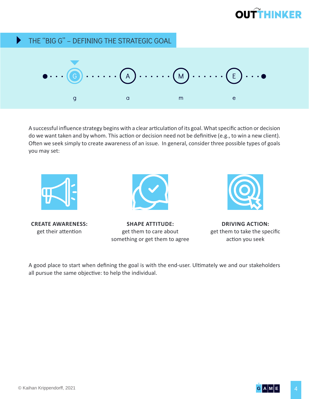#### THE "BIG G" – DEFINING THE STRATEGIC GOAL  $\blacktriangleright$



A successful influence strategy begins with a clear articulation of its goal. What specific action or decision do we want taken and by whom. This action or decision need not be definitive (e.g., to win a new client). Often we seek simply to create awareness of an issue. In general, consider three possible types of goals you may set:



**CREATE AWARENESS:** get their attention



**SHAPE ATTITUDE:** get them to care about something or get them to agree



**DRIVING ACTION:** get them to take the specific action you seek

A good place to start when defining the goal is with the end-user. Ultimately we and our stakeholders all pursue the same objective: to help the individual.

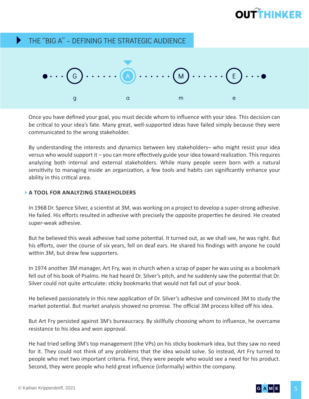#### THE "BIG A" – DEFINING THE STRATEGIC AUDIENCE  $\blacktriangleright$



Once you have defined your goal, you must decide whom to influence with your idea. This decision can be critical to your idea's fate. Many great, well-supported ideas have failed simply because they were communicated to the wrong stakeholder.

By understanding the interests and dynamics between key stakeholders– who might resist your idea versus who would support it – you can more effectively guide your idea toward realization. This requires analyzing both internal and external stakeholders. While many people seem born with a natural sensitivity to managing inside an organization, a few tools and habits can significantly enhance your ability in this critical area.

### **A TOOL FOR ANALYZING STAKEHOLDERS**

In 1968 Dr. Spence Silver, a scientist at 3M, was working on a project to develop a super-strong adhesive. He failed. His efforts resulted in adhesive with precisely the opposite properties he desired. He created super-weak adhesive.

But he believed this weak adhesive had some potential. It turned out, as we shall see, he was right. But his efforts, over the course of six years, fell on deaf ears. He shared his findings with anyone he could within 3M, but drew few supporters.

In 1974 another 3M manager, Art Fry, was in church when a scrap of paper he was using as a bookmark fell out of his book of Psalms. He had heard Dr. Silver's pitch, and he suddenly saw the potential that Dr. Silver could not quite articulate: sticky bookmarks that would not fall out of your book.

He believed passionately in this new application of Dr. Silver's adhesive and convinced 3M to study the market potential. But market analysis showed no promise. The official 3M process killed off his idea.

But Art Fry persisted against 3M's bureaucracy. By skillfully choosing whom to influence, he overcame resistance to his idea and won approval.

He had tried selling 3M's top management (the VPs) on his sticky bookmark idea, but they saw no need for it. They could not think of any problems that the idea would solve. So instead, Art Fry turned to people who met two important criteria. First, they were people who would see a need for his product. Second, they were people who held great influence (informally) within the company.

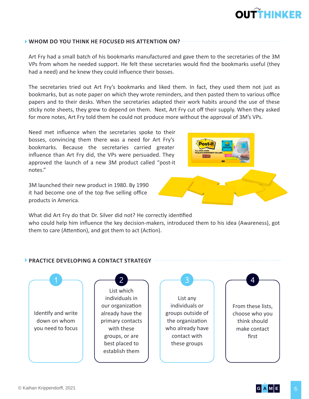#### **WHOM DO YOU THINK HE FOCUSED HIS ATTENTION ON?**

Art Fry had a small batch of his bookmarks manufactured and gave them to the secretaries of the 3M VPs from whom he needed support. He felt these secretaries would find the bookmarks useful (they had a need) and he knew they could influence their bosses.

The secretaries tried out Art Fry's bookmarks and liked them. In fact, they used them not just as bookmarks, but as note paper on which they wrote reminders, and then pasted them to various office papers and to their desks. When the secretaries adapted their work habits around the use of these sticky note sheets, they grew to depend on them. Next, Art Fry cut off their supply. When they asked for more notes, Art Fry told them he could not produce more without the approval of 3M's VPs.

Need met influence when the secretaries spoke to their bosses, convincing them there was a need for Art Fry's bookmarks. Because the secretaries carried greater influence than Art Fry did, the VPs were persuaded. They approved the launch of a new 3M product called "post-it notes."

3M launched their new product in 1980. By 1990 it had become one of the top five selling office products in America.



#### **PRACTICE DEVELOPING A CONTACT STRATEGY**



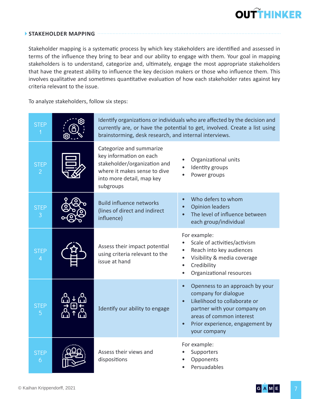#### **STAKEHOLDER MAPPING**

Stakeholder mapping is a systematic process by which key stakeholders are identified and assessed in terms of the influence they bring to bear and our ability to engage with them. Your goal in mapping stakeholders is to understand, categorize and, ultimately, engage the most appropriate stakeholders that have the greatest ability to influence the key decision makers or those who influence them. This involves qualitative and sometimes quantitative evaluation of how each stakeholder rates against key criteria relevant to the issue.

To analyze stakeholders, follow six steps:

| <b>STEP</b>                   | Identify organizations or individuals who are affected by the decision and<br>currently are, or have the potential to get, involved. Create a list using<br>brainstorming, desk research, and internal interviews. |                                                                                                                                                                                                                     |  |  |  |  |  |  |
|-------------------------------|--------------------------------------------------------------------------------------------------------------------------------------------------------------------------------------------------------------------|---------------------------------------------------------------------------------------------------------------------------------------------------------------------------------------------------------------------|--|--|--|--|--|--|
| <b>STEP</b><br>$\overline{2}$ | Categorize and summarize<br>key information on each<br>stakeholder/organization and<br>where it makes sense to dive<br>into more detail, map key<br>subgroups                                                      | Organizational units<br>Identity groups<br>Power groups                                                                                                                                                             |  |  |  |  |  |  |
| <b>STEP</b><br>3              | <b>Build influence networks</b><br>(lines of direct and indirect<br>influence)                                                                                                                                     | Who defers to whom<br><b>Opinion leaders</b><br>The level of influence between<br>each group/individual                                                                                                             |  |  |  |  |  |  |
| <b>STEP</b>                   | Assess their impact potential<br>using criteria relevant to the<br>issue at hand                                                                                                                                   | For example:<br>Scale of activities/activism<br>Reach into key audiences<br>$\bullet$<br>Visibility & media coverage<br>Credibility<br>$\bullet$<br>Organizational resources                                        |  |  |  |  |  |  |
| <b>STEP</b><br>5              | Identify our ability to engage                                                                                                                                                                                     | Openness to an approach by your<br>company for dialogue<br>Likelihood to collaborate or<br>$\bullet$<br>partner with your company on<br>areas of common interest<br>Prior experience, engagement by<br>your company |  |  |  |  |  |  |
| <b>STEP</b><br>6              | Assess their views and<br>dispositions                                                                                                                                                                             | For example:<br>Supporters<br>Opponents<br>Persuadables                                                                                                                                                             |  |  |  |  |  |  |

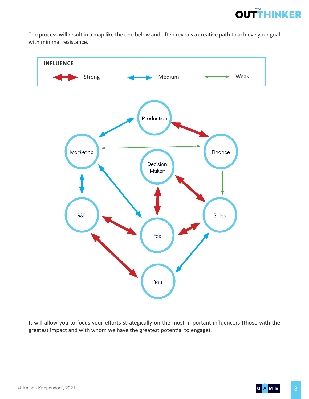

The process will result in a map like the one below and often reveals a creative path to achieve your goal with minimal resistance.



It will allow you to focus your efforts strategically on the most important influencers (those with the greatest impact and with whom we have the greatest potential to engage).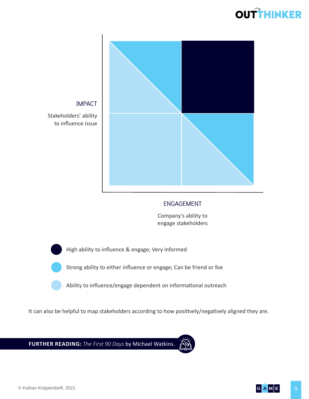



### IMPACT

Stakeholders' ability to influence issue

### ENGAGEMENT

Company's ability to engage stakeholders

High ability to influence & engage; Very informed

Strong ability to either influence or engage; Can be friend or foe

Ability to influence/engage dependent on informational outreach

It can also be helpful to map stakeholders according to how positively/negatively aligned they are.

**FURTHER READING:** *The First 90 Days* by Michael Watkins.



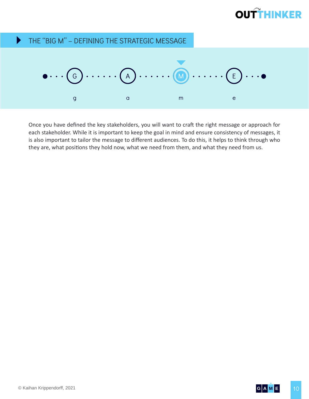#### $\blacktriangleright$ THE "BIG M" – DEFINING THE STRATEGIC MESSAGE



Once you have defined the key stakeholders, you will want to craft the right message or approach for each stakeholder. While it is important to keep the goal in mind and ensure consistency of messages, it is also important to tailor the message to different audiences. To do this, it helps to think through who they are, what positions they hold now, what we need from them, and what they need from us.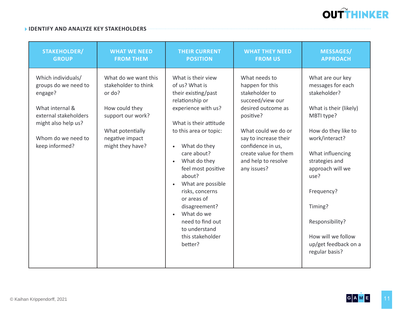

#### **IDENTIFY AND ANALYZE KEY STAKEHOLDERS**

| <b>STAKEHOLDER/</b>                                                                                                                                              | <b>WHAT WE NEED</b>                                                                                                                                      | <b>THEIR CURRENT</b>                                                                                                                                                                                                                                                                                                                                                                                                                      | <b>WHAT THEY NEED</b>                                                                                                                                                                                                                         | <b>MESSAGES/</b>                                                                                                                                                                                                                                                                                                     |
|------------------------------------------------------------------------------------------------------------------------------------------------------------------|----------------------------------------------------------------------------------------------------------------------------------------------------------|-------------------------------------------------------------------------------------------------------------------------------------------------------------------------------------------------------------------------------------------------------------------------------------------------------------------------------------------------------------------------------------------------------------------------------------------|-----------------------------------------------------------------------------------------------------------------------------------------------------------------------------------------------------------------------------------------------|----------------------------------------------------------------------------------------------------------------------------------------------------------------------------------------------------------------------------------------------------------------------------------------------------------------------|
| <b>GROUP</b>                                                                                                                                                     | <b>FROM THEM</b>                                                                                                                                         | <b>POSITION</b>                                                                                                                                                                                                                                                                                                                                                                                                                           | <b>FROM US</b>                                                                                                                                                                                                                                | <b>APPROACH</b>                                                                                                                                                                                                                                                                                                      |
| Which individuals/<br>groups do we need to<br>engage?<br>What internal &<br>external stakeholders<br>might also help us?<br>Whom do we need to<br>keep informed? | What do we want this<br>stakeholder to think<br>or do?<br>How could they<br>support our work?<br>What potentially<br>negative impact<br>might they have? | What is their view<br>of us? What is<br>their existing/past<br>relationship or<br>experience with us?<br>What is their attitude<br>to this area or topic:<br>What do they<br>$\bullet$<br>care about?<br>What do they<br>$\bullet$<br>feel most positive<br>about?<br>What are possible<br>$\bullet$<br>risks, concerns<br>or areas of<br>disagreement?<br>What do we<br>need to find out<br>to understand<br>this stakeholder<br>better? | What needs to<br>happen for this<br>stakeholder to<br>succeed/view our<br>desired outcome as<br>positive?<br>What could we do or<br>say to increase their<br>confidence in us,<br>create value for them<br>and help to resolve<br>any issues? | What are our key<br>messages for each<br>stakeholder?<br>What is their (likely)<br>MBTI type?<br>How do they like to<br>work/interact?<br>What influencing<br>strategies and<br>approach will we<br>use?<br>Frequency?<br>Timing?<br>Responsibility?<br>How will we follow<br>up/get feedback on a<br>regular basis? |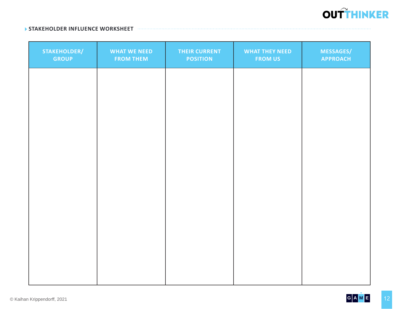

#### **STAKEHOLDER INFLUENCE WORKSHEET**

| STAKEHOLDER/<br><b>GROUP</b> | <b>WHAT WE NEED</b><br><b>FROM THEM</b> | <b>THEIR CURRENT</b><br><b>POSITION</b> | <b>WHAT THEY NEED</b><br><b>FROM US</b> | <b>MESSAGES/</b><br><b>APPROACH</b> |
|------------------------------|-----------------------------------------|-----------------------------------------|-----------------------------------------|-------------------------------------|
|                              |                                         |                                         |                                         |                                     |
|                              |                                         |                                         |                                         |                                     |
|                              |                                         |                                         |                                         |                                     |
|                              |                                         |                                         |                                         |                                     |
|                              |                                         |                                         |                                         |                                     |
|                              |                                         |                                         |                                         |                                     |
|                              |                                         |                                         |                                         |                                     |
|                              |                                         |                                         |                                         |                                     |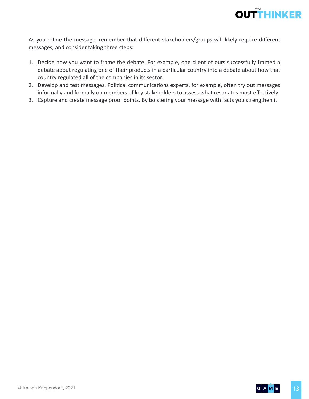

As you refine the message, remember that different stakeholders/groups will likely require different messages, and consider taking three steps:

- 1. Decide how you want to frame the debate. For example, one client of ours successfully framed a debate about regulating one of their products in a particular country into a debate about how that country regulated all of the companies in its sector.
- 2. Develop and test messages. Political communications experts, for example, often try out messages informally and formally on members of key stakeholders to assess what resonates most effectively.
- 3. Capture and create message proof points. By bolstering your message with facts you strengthen it.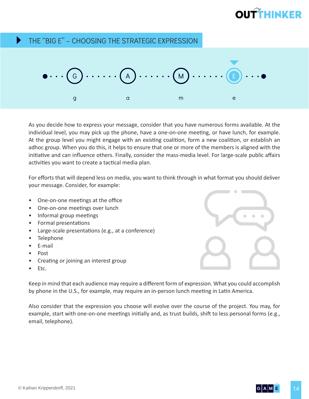#### THE "BIG E" – CHOOSING THE STRATEGIC EXPRESSION  $\blacktriangleright$



As you decide how to express your message, consider that you have numerous forms available. At the individual level, you may pick up the phone, have a one-on-one meeting, or have lunch, for example. At the group level you might engage with an existing coalition, form a new coalition, or establish an adhoc group. When you do this, it helps to ensure that one or more of the members is aligned with the initiative and can influence others. Finally, consider the mass-media level. For large-scale public affairs activities you want to create a tactical media plan.

For efforts that will depend less on media, you want to think through in what format you should deliver your message. Consider, for example:

- One-on-one meetings at the office
- One-on-one meetings over lunch
- Informal group meetings
- Formal presentations
- Large-scale presentations (e.g., at a conference)
- Telephone
- E-mail
- Post
- Creating or joining an interest group
- Etc.

Keep in mind that each audience may require a different form of expression. What you could accomplish by phone in the U.S., for example, may require an in-person lunch meeting in Latin America.

Also consider that the expression you choose will evolve over the course of the project. You may, for example, start with one-on-one meetings initially and, as trust builds, shift to less personal forms (e.g., email, telephone).



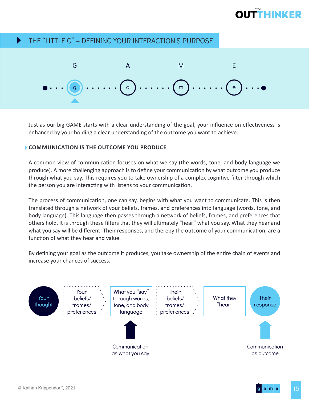#### THE "LITTLE G" – DEFINING YOUR INTERACTION'S PURPOSE  $\blacktriangleright$



Just as our big GAME starts with a clear understanding of the goal, your influence on effectiveness is enhanced by your holding a clear understanding of the outcome you want to achieve.

#### **COMMUNICATION IS THE OUTCOME YOU PRODUCE**

A common view of communication focuses on what we say (the words, tone, and body language we produce). A more challenging approach is to define your communication by what outcome you produce through what you say. This requires you to take ownership of a complex cognitive filter through which the person you are interacting with listens to your communication.

The process of communication, one can say, begins with what you want to communicate. This is then translated through a network of your beliefs, frames, and preferences into language (words, tone, and body language). This language then passes through a network of beliefs, frames, and preferences that others hold. It is through these filters that they will ultimately "hear" what you say. What they hear and what you say will be different. Their responses, and thereby the outcome of your communication, are a function of what they hear and value.

By defining your goal as the outcome it produces, you take ownership of the entire chain of events and increase your chances of success.

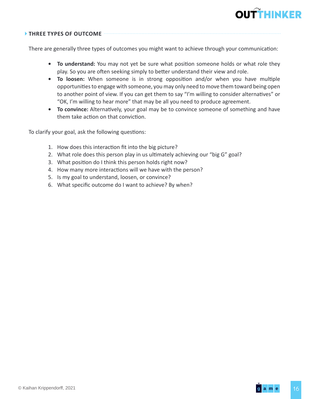

### **THREE TYPES OF OUTCOME**

There are generally three types of outcomes you might want to achieve through your communication:

- **• To understand:** You may not yet be sure what position someone holds or what role they play. So you are often seeking simply to better understand their view and role.
- **• To loosen:** When someone is in strong opposition and/or when you have multiple opportunities to engage with someone, you may only need to move them toward being open to another point of view. If you can get them to say "I'm willing to consider alternatives" or "OK, I'm willing to hear more" that may be all you need to produce agreement.
- **• To convince:** Alternatively, your goal may be to convince someone of something and have them take action on that conviction.

To clarify your goal, ask the following questions:

- 1. How does this interaction fit into the big picture?
- 2. What role does this person play in us ultimately achieving our "big G" goal?
- 3. What position do I think this person holds right now?
- 4. How many more interactions will we have with the person?
- 5. Is my goal to understand, loosen, or convince?
- 6. What specific outcome do I want to achieve? By when?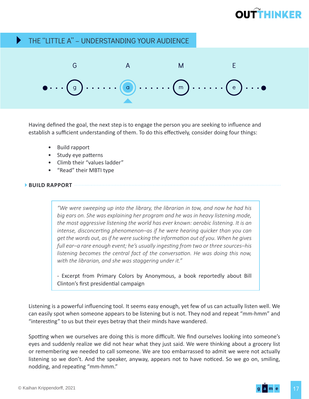#### THE "LITTLE A" – UNDERSTANDING YOUR AUDIENCE Þ



Having defined the goal, the next step is to engage the person you are seeking to influence and establish a sufficient understanding of them. To do this effectively, consider doing four things:

- Build rapport
- Study eye patterns
- Climb their "values ladder"
- "Read" their MBTI type

#### **BUILD RAPPORT**

*"We were sweeping up into the library, the librarian in tow, and now he had his big ears on. She was explaining her program and he was in heavy listening mode, the most aggressive listening the world has ever known: aerobic listening. It is an intense, disconcerting phenomenon–as if he were hearing quicker than you can get the words out, as if he were sucking the information out of you. When he gives full ear–a rare enough event; he's usually ingesting from two or three sources–his listening becomes the central fact of the conversation. He was doing this now, with the librarian, and she was staggering under it."*

- Excerpt from Primary Colors by Anonymous, a book reportedly about Bill Clinton's first presidential campaign

Listening is a powerful influencing tool. It seems easy enough, yet few of us can actually listen well. We can easily spot when someone appears to be listening but is not. They nod and repeat "mm-hmm" and "interesting" to us but their eyes betray that their minds have wandered.

Spotting when we ourselves are doing this is more difficult. We find ourselves looking into someone's eyes and suddenly realize we did not hear what they just said. We were thinking about a grocery list or remembering we needed to call someone. We are too embarrassed to admit we were not actually listening so we don't. And the speaker, anyway, appears not to have noticed. So we go on, smiling, nodding, and repeating "mm-hmm."

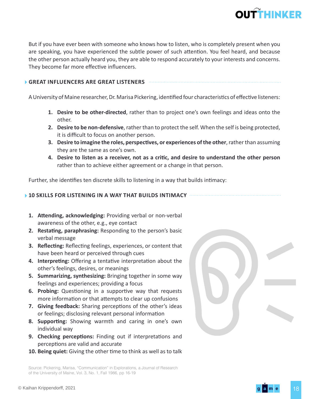

But if you have ever been with someone who knows how to listen, who is completely present when you are speaking, you have experienced the subtle power of such attention. You feel heard, and because the other person actually heard you, they are able to respond accurately to your interests and concerns. They become far more effective influencers.

#### **GREAT INFLUENCERS ARE GREAT LISTENERS**

A University of Maine researcher, Dr. Marisa Pickering, identified four characteristics of effective listeners:

- **1. Desire to be other-directed**, rather than to project one's own feelings and ideas onto the other.
- **2. Desire to be non-defensive**, rather than to protect the self. When the self is being protected, it is difficult to focus on another person.
- **3. Desire to imagine the roles, perspectives, or experiences of the other**, rather than assuming they are the same as one's own.
- **4. Desire to listen as a receiver, not as a critic, and desire to understand the other person** rather than to achieve either agreement or a change in that person.

Further, she identifies ten discrete skills to listening in a way that builds intimacy:

#### **10 SKILLS FOR LISTENING IN A WAY THAT BUILDS INTIMACY**

- **1. Attending, acknowledging:** Providing verbal or non-verbal awareness of the other, e.g., eye contact
- **2. Restating, paraphrasing:** Responding to the person's basic verbal message
- **3. Reflecting:** Reflecting feelings, experiences, or content that have been heard or perceived through cues
- **4. Interpreting:** Offering a tentative interpretation about the other's feelings, desires, or meanings
- **5. Summarizing, synthesizing:** Bringing together in some way feelings and experiences; providing a focus
- **6. Probing:** Questioning in a supportive way that requests more information or that attempts to clear up confusions
- **7. Giving feedback:** Sharing perceptions of the other's ideas or feelings; disclosing relevant personal information
- **8. Supporting:** Showing warmth and caring in one's own individual way
- **9. Checking perceptions:** Finding out if interpretations and perceptions are valid and accurate
- **10. Being quiet:** Giving the other time to think as well as to talk

Source: Pickering, Marisa, "Communication" in Explorations, a Journal of Research of the University of Maine, Vol. 3, No. 1, Fall 1986, pp 16-19

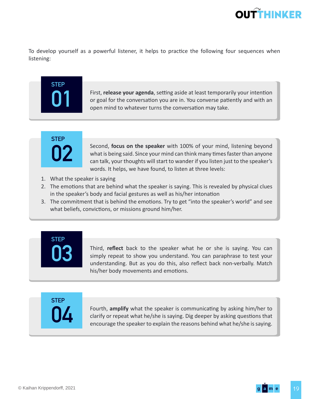

To develop yourself as a powerful listener, it helps to practice the following four sequences when listening:

# **STEP**

**01** First, **release your agenda**, setting aside at least temporarily your intention or goal for the conversation you are in. You converse patiently and with an open mind to whatever turns the conversation may take. or goal for the conversation you are in. You converse patiently and with an open mind to whatever turns the conversation may take.



Second, **focus on the speaker** with 100% of your mind, listening beyond<br>what is being said. Since your mind can think many times faster than anyone<br>can talk, your thoughts will start to wander if you listen just to the spe what is being said. Since your mind can think many times faster than anyone can talk, your thoughts will start to wander if you listen just to the speaker's words. It helps, we have found, to listen at three levels:

- 1. What the speaker is saying
- 2. The emotions that are behind what the speaker is saying. This is revealed by physical clues in the speaker's body and facial gestures as well as his/her intonation
- 3. The commitment that is behind the emotions. Try to get "into the speaker's world" and see what beliefs, convictions, or missions ground him/her.

# **STEP**

**03** Third, **reflect** back to the speaker what he or she is saying. You can simply repeat to show you understand. You can paraphrase to test your understanding. But as you do this, also reflect back non-verbally. Match his/her body movements and emotions.

**STEP**

Fourth, **amplify** what the speaker is communicating by asking him/her to clarify or repeat what he/she is saying. Dig deeper by asking questions that encourage the speaker to explain the reasons behind what he/she is sayin clarify or repeat what he/she is saying. Dig deeper by asking questions that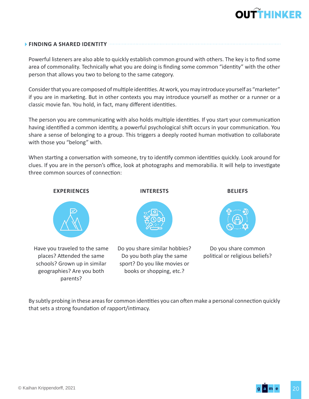

#### **FINDING A SHARED IDENTITY**

Powerful listeners are also able to quickly establish common ground with others. The key is to find some area of commonality. Technically what you are doing is finding some common "identity" with the other person that allows you two to belong to the same category.

Consider that you are composed of multiple identities. At work, you may introduce yourself as "marketer" if you are in marketing. But in other contexts you may introduce yourself as mother or a runner or a classic movie fan. You hold, in fact, many different identities.

The person you are communicating with also holds multiple identities. If you start your communication having identified a common identity, a powerful psychological shift occurs in your communication. You share a sense of belonging to a group. This triggers a deeply rooted human motivation to collaborate with those you "belong" with.

When starting a conversation with someone, try to identify common identities quickly. Look around for clues. If you are in the person's office, look at photographs and memorabilia. It will help to investigate three common sources of connection:



By subtly probing in these areas for common identities you can often make a personal connection quickly that sets a strong foundation of rapport/intimacy.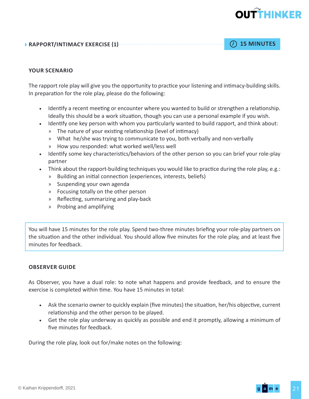### **RAPPORT/INTIMACY EXERCISE (1) 15 MINUTES**

#### **YOUR SCENARIO**

The rapport role play will give you the opportunity to practice your listening and intimacy-building skills. In preparation for the role play, please do the following:

- Identify a recent meeting or encounter where you wanted to build or strengthen a relationship. Ideally this should be a work situation, though you can use a personal example if you wish.
- Identify one key person with whom you particularly wanted to build rapport, and think about:
	- » The nature of your existing relationship (level of intimacy)
	- » What he/she was trying to communicate to you, both verbally and non-verbally
	- » How you responded: what worked well/less well
- Identify some key characteristics/behaviors of the other person so you can brief your role-play partner
- Think about the rapport-building techniques you would like to practice during the role play, e.g.:
	- » Building an initial connection (experiences, interests, beliefs)
	- » Suspending your own agenda
	- » Focusing totally on the other person
	- » Reflecting, summarizing and play-back
	- » Probing and amplifying

You will have 15 minutes for the role play. Spend two-three minutes briefing your role-play partners on the situation and the other individual. You should allow five minutes for the role play, and at least five minutes for feedback.

#### **OBSERVER GUIDE**

As Observer, you have a dual role: to note what happens and provide feedback, and to ensure the exercise is completed within time. You have 15 minutes in total:

- Ask the scenario owner to quickly explain (five minutes) the situation, her/his objective, current relationship and the other person to be played.
- Get the role play underway as quickly as possible and end it promptly, allowing a minimum of five minutes for feedback.

During the role play, look out for/make notes on the following: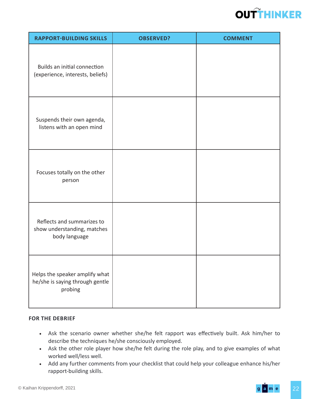

| <b>RAPPORT-BUILDING SKILLS</b>                                               | <b>OBSERVED?</b> | <b>COMMENT</b> |
|------------------------------------------------------------------------------|------------------|----------------|
| Builds an initial connection<br>(experience, interests, beliefs)             |                  |                |
| Suspends their own agenda,<br>listens with an open mind                      |                  |                |
| Focuses totally on the other<br>person                                       |                  |                |
| Reflects and summarizes to<br>show understanding, matches<br>body language   |                  |                |
| Helps the speaker amplify what<br>he/she is saying through gentle<br>probing |                  |                |

#### **FOR THE DEBRIEF**

- Ask the scenario owner whether she/he felt rapport was effectively built. Ask him/her to describe the techniques he/she consciously employed.
- Ask the other role player how she/he felt during the role play, and to give examples of what worked well/less well.
- Add any further comments from your checklist that could help your colleague enhance his/her rapport-building skills.

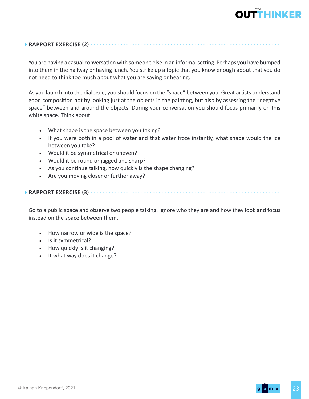### **RAPPORT EXERCISE (2)**

You are having a casual conversation with someone else in an informal setting. Perhaps you have bumped into them in the hallway or having lunch. You strike up a topic that you know enough about that you do not need to think too much about what you are saying or hearing.

As you launch into the dialogue, you should focus on the "space" between you. Great artists understand good composition not by looking just at the objects in the painting, but also by assessing the "negative space" between and around the objects. During your conversation you should focus primarily on this white space. Think about:

- What shape is the space between you taking?
- If you were both in a pool of water and that water froze instantly, what shape would the ice between you take?
- Would it be symmetrical or uneven?
- Would it be round or jagged and sharp?
- As you continue talking, how quickly is the shape changing?
- Are you moving closer or further away?

### **RAPPORT EXERCISE (3)**

Go to a public space and observe two people talking. Ignore who they are and how they look and focus instead on the space between them.

- How narrow or wide is the space?
- Is it symmetrical?
- How quickly is it changing?
- It what way does it change?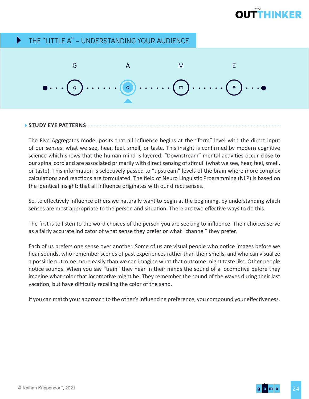#### THE "LITTLE A" – UNDERSTANDING YOUR AUDIENCE Þ



#### **STUDY EYE PATTERNS**

The Five Aggregates model posits that all influence begins at the "form" level with the direct input of our senses: what we see, hear, feel, smell, or taste. This insight is confirmed by modern cognitive science which shows that the human mind is layered. "Downstream" mental activities occur close to our spinal cord and are associated primarily with direct sensing of stimuli (what we see, hear, feel, smell, or taste). This information is selectively passed to "upstream" levels of the brain where more complex calculations and reactions are formulated. The field of Neuro Linguistic Programming (NLP) is based on the identical insight: that all influence originates with our direct senses.

So, to effectively influence others we naturally want to begin at the beginning, by understanding which senses are most appropriate to the person and situation. There are two effective ways to do this.

The first is to listen to the word choices of the person you are seeking to influence. Their choices serve as a fairly accurate indicator of what sense they prefer or what "channel" they prefer.

Each of us prefers one sense over another. Some of us are visual people who notice images before we hear sounds, who remember scenes of past experiences rather than their smells, and who can visualize a possible outcome more easily than we can imagine what that outcome might taste like. Other people notice sounds. When you say "train" they hear in their minds the sound of a locomotive before they imagine what color that locomotive might be. They remember the sound of the waves during their last vacation, but have difficulty recalling the color of the sand.

If you can match your approach to the other's influencing preference, you compound your effectiveness.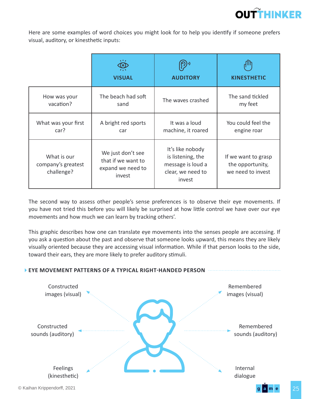

Here are some examples of word choices you might look for to help you identify if someone prefers visual, auditory, or kinesthetic inputs:

|                                                 | $\sqrt{1/x}$<br><b>VISUAL</b>                                          | <b>AUDITORY</b>                                                                           | <b>KINESTHETIC</b>                                           |
|-------------------------------------------------|------------------------------------------------------------------------|-------------------------------------------------------------------------------------------|--------------------------------------------------------------|
| How was your                                    | The beach had soft                                                     | The waves crashed                                                                         | The sand tickled                                             |
| vacation?                                       | sand                                                                   |                                                                                           | my feet                                                      |
| What was your first                             | A bright red sports                                                    | It was a loud                                                                             | You could feel the                                           |
| car?                                            | car                                                                    | machine, it roared                                                                        | engine roar                                                  |
| What is our<br>company's greatest<br>challenge? | We just don't see<br>that if we want to<br>expand we need to<br>invest | It's like nobody<br>is listening, the<br>message is loud a<br>clear, we need to<br>invest | If we want to grasp<br>the opportunity,<br>we need to invest |

The second way to assess other people's sense preferences is to observe their eye movements. If you have not tried this before you will likely be surprised at how little control we have over our eye movements and how much we can learn by tracking others'.

This graphic describes how one can translate eye movements into the senses people are accessing. If you ask a question about the past and observe that someone looks upward, this means they are likely visually oriented because they are accessing visual information. While if that person looks to the side, toward their ears, they are more likely to prefer auditory stimuli.

### **EYE MOVEMENT PATTERNS OF A TYPICAL RIGHT-HANDED PERSON**

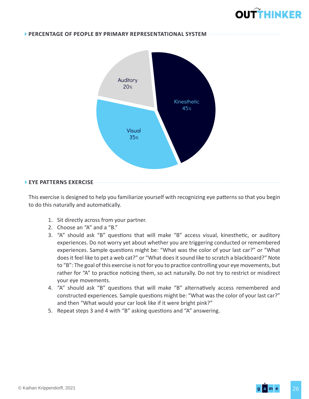#### **PERCENTAGE OF PEOPLE BY PRIMARY REPRESENTATIONAL SYSTEM**



#### **EYE PATTERNS EXERCISE**

This exercise is designed to help you familiarize yourself with recognizing eye patterns so that you begin to do this naturally and automatically.

- 1. Sit directly across from your partner.
- 2. Choose an "A" and a "B."
- 3. "A" should ask "B" questions that will make "B" access visual, kinesthetic, or auditory experiences. Do not worry yet about whether you are triggering conducted or remembered experiences. Sample questions might be: "What was the color of your last car?" or "What does it feel like to pet a web cat?" or "What does it sound like to scratch a blackboard?" Note to "B": The goal of this exercise is not for you to practice controlling your eye movements, but rather for "A" to practice noticing them, so act naturally. Do not try to restrict or misdirect your eye movements.
- 4. "A" should ask "B" questions that will make "B" alternatively access remembered and constructed experiences. Sample questions might be: "What was the color of your last car?" and then "What would your car look like if it were bright pink?"
- 5. Repeat steps 3 and 4 with "B" asking questions and "A" answering.

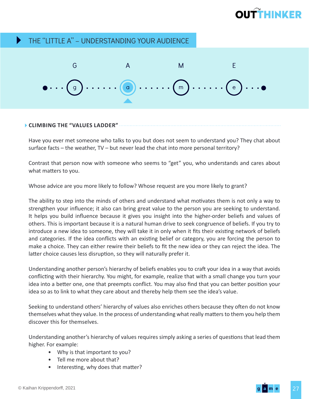#### THE "LITTLE A" – UNDERSTANDING YOUR AUDIENCE  $\blacktriangleright$



#### **CLIMBING THE "VALUES LADDER"**

Have you ever met someone who talks to you but does not seem to understand you? They chat about surface facts – the weather, TV – but never lead the chat into more personal territory?

Contrast that person now with someone who seems to "get" you, who understands and cares about what matters to you.

Whose advice are you more likely to follow? Whose request are you more likely to grant?

The ability to step into the minds of others and understand what motivates them is not only a way to strengthen your influence; it also can bring great value to the person you are seeking to understand. It helps you build influence because it gives you insight into the higher-order beliefs and values of others. This is important because it is a natural human drive to seek congruence of beliefs. If you try to introduce a new idea to someone, they will take it in only when it fits their existing network of beliefs and categories. If the idea conflicts with an existing belief or category, you are forcing the person to make a choice. They can either rewire their beliefs to fit the new idea or they can reject the idea. The latter choice causes less disruption, so they will naturally prefer it.

Understanding another person's hierarchy of beliefs enables you to craft your idea in a way that avoids conflicting with their hierarchy. You might, for example, realize that with a small change you turn your idea into a better one, one that preempts conflict. You may also find that you can better position your idea so as to link to what they care about and thereby help them see the idea's value.

Seeking to understand others' hierarchy of values also enriches others because they often do not know themselves what they value. In the process of understanding what really matters to them you help them discover this for themselves.

Understanding another's hierarchy of values requires simply asking a series of questions that lead them higher. For example:

- Why is that important to you?
- Tell me more about that?
- Interesting, why does that matter?

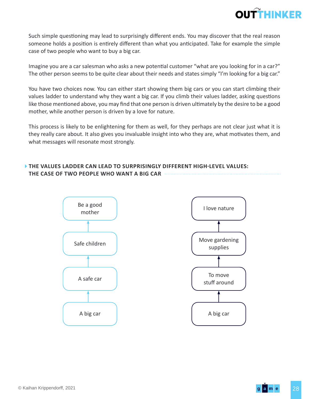

Such simple questioning may lead to surprisingly different ends. You may discover that the real reason someone holds a position is entirely different than what you anticipated. Take for example the simple case of two people who want to buy a big car.

Imagine you are a car salesman who asks a new potential customer "what are you looking for in a car?" The other person seems to be quite clear about their needs and states simply "I'm looking for a big car."

You have two choices now. You can either start showing them big cars or you can start climbing their values ladder to understand why they want a big car. If you climb their values ladder, asking questions like those mentioned above, you may find that one person is driven ultimately by the desire to be a good mother, while another person is driven by a love for nature.

This process is likely to be enlightening for them as well, for they perhaps are not clear just what it is they really care about. It also gives you invaluable insight into who they are, what motivates them, and what messages will resonate most strongly.

### **THE VALUES LADDER CAN LEAD TO SURPRISINGLY DIFFERENT HIGH-LEVEL VALUES: THE CASE OF TWO PEOPLE WHO WANT A BIG CAR**

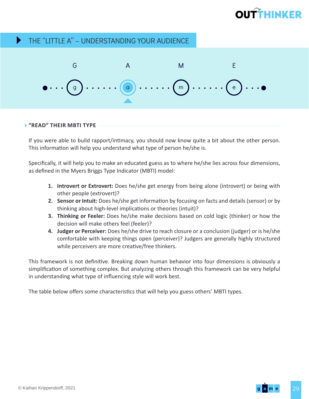#### THE "LITTLE A" – UNDERSTANDING YOUR AUDIENCE  $\blacktriangleright$



### **"READ" THEIR MBTI TYPE**

If you were able to build rapport/intimacy, you should now know quite a bit about the other person. This information will help you understand what type of person he/she is.

Specifically, it will help you to make an educated guess as to where he/she lies across four dimensions, as defined in the Myers Briggs Type Indicator (MBTI) model:

- **1. Introvert or Extrovert:** Does he/she get energy from being alone (introvert) or being with other people (extrovert)?
- **2. Sensor or Intuit:** Does he/she get information by focusing on facts and details (sensor) or by thinking about high-level implications or theories (intuit)?
- **3. Thinking or Feeler:** Does he/she make decisions based on cold logic (thinker) or how the decision will make others feel (feeler)?
- **4. Judger or Perceiver:** Does he/she drive to reach closure or a conclusion (judger) or is he/she comfortable with keeping things open (perceiver)? Judgers are generally highly structured while perceivers are more creative/free thinkers.

This framework is not definitive. Breaking down human behavior into four dimensions is obviously a simplification of something complex. But analyzing others through this framework can be very helpful in understanding what type of influencing style will work best.

The table below offers some characteristics that will help you guess others' MBTI types.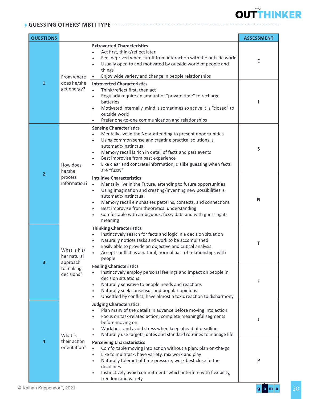#### **GUESSING OTHERS' MBTI TYPE**

| <b>QUESTIONS</b> |                                                                    | <b>ASSESSMENT</b>                                                                                                                                                                                                                                                                                                                                                                                                                                         |   |  |  |  |
|------------------|--------------------------------------------------------------------|-----------------------------------------------------------------------------------------------------------------------------------------------------------------------------------------------------------------------------------------------------------------------------------------------------------------------------------------------------------------------------------------------------------------------------------------------------------|---|--|--|--|
|                  | From where                                                         | <b>Extraverted Characteristics</b><br>Act first, think/reflect later<br>$\bullet$<br>Feel deprived when cutoff from interaction with the outside world<br>$\bullet$<br>Usually open to and motivated by outside world of people and<br>$\bullet$<br>things<br>Enjoy wide variety and change in people relationships                                                                                                                                       |   |  |  |  |
| $\mathbf{1}$     | does he/she<br>get energy?                                         | <b>Introverted Characteristics</b><br>Think/reflect first, then act<br>$\bullet$<br>Regularly require an amount of "private time" to recharge<br>$\bullet$<br>batteries<br>Motivated internally, mind is sometimes so active it is "closed" to<br>$\bullet$<br>outside world<br>Prefer one-to-one communication and relationships<br>$\bullet$                                                                                                            |   |  |  |  |
|                  | How does<br>he/she                                                 | <b>Sensing Characteristics</b><br>Mentally live in the Now, attending to present opportunities<br>٠<br>Using common sense and creating practical solutions is<br>٠<br>automatic-instinctual<br>Memory recall is rich in detail of facts and past events<br>٠<br>Best improvise from past experience<br>٠<br>Like clear and concrete information; dislike guessing when facts<br>are "fuzzy"                                                               | S |  |  |  |
| $\overline{2}$   | process<br>information?                                            | <b>Intuitive Characteristics</b><br>Mentally live in the Future, attending to future opportunities<br>$\bullet$<br>Using imagination and creating/inventing new possibilities is<br>$\bullet$<br>automatic-instinctual<br>Memory recall emphasizes patterns, contexts, and connections<br>$\bullet$<br>Best improvise from theoretical understanding<br>$\bullet$<br>Comfortable with ambiguous, fuzzy data and with guessing its<br>$\bullet$<br>meaning | N |  |  |  |
|                  | What is his/<br>her natural<br>approach<br>to making<br>decisions? | <b>Thinking Characteristics</b><br>Instinctively search for facts and logic in a decision situation<br>$\bullet$<br>Naturally notices tasks and work to be accomplished<br>$\bullet$<br>Easily able to provide an objective and critical analysis<br>٠<br>Accept conflict as a natural, normal part of relationships with<br>people                                                                                                                       | т |  |  |  |
|                  |                                                                    | <b>Feeling Characteristics</b><br>Instinctively employ personal feelings and impact on people in<br>decision situations<br>Naturally sensitive to people needs and reactions<br>$\bullet$<br>Naturally seek consensus and popular opinions<br>$\bullet$<br>Unsettled by conflict; have almost a toxic reaction to disharmony<br>$\bullet$                                                                                                                 | F |  |  |  |
|                  | What is                                                            | <b>Judging Characteristics</b><br>Plan many of the details in advance before moving into action<br>$\bullet$<br>Focus on task-related action; complete meaningful segments<br>$\bullet$<br>before moving on<br>Work best and avoid stress when keep ahead of deadlines<br>$\bullet$<br>Naturally use targets, dates and standard routines to manage life<br>٠                                                                                             | J |  |  |  |
| 4                | their action<br>orientation?                                       | <b>Perceiving Characteristics</b><br>Comfortable moving into action without a plan; plan on-the-go<br>$\bullet$<br>Like to multitask, have variety, mix work and play<br>$\bullet$<br>Naturally tolerant of time pressure; work best close to the<br>$\bullet$<br>deadlines<br>Instinctively avoid commitments which interfere with flexibility,<br>٠<br>freedom and variety                                                                              | P |  |  |  |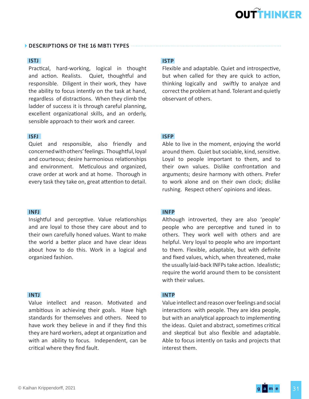### **DESCRIPTIONS OF THE 16 MBTI TYPES**  $....$

### **ISTJ**

Practical, hard-working, logical in thought and action. Realists. Quiet, thoughtful and responsible. Diligent in their work, they have the ability to focus intently on the task at hand, regardless of distractions. When they climb the ladder of success it is through careful planning, excellent organizational skills, and an orderly, sensible approach to their work and career.

#### **ISFJ**

Quiet and responsible, also friendly and concerned with others' feelings. Thoughtful, loyal and courteous; desire harmonious relationships and environment. Meticulous and organized, crave order at work and at home. Thorough in every task they take on, great attention to detail.

#### **INFJ**

Insightful and perceptive. Value relationships and are loyal to those they care about and to their own carefully honed values. Want to make the world a better place and have clear ideas about how to do this. Work in a logical and organized fashion.

#### **INTJ**

Value intellect and reason. Motivated and ambitious in achieving their goals. Have high standards for themselves and others. Need to have work they believe in and if they find this they are hard workers, adept at organization and with an ability to focus. Independent, can be critical where they find fault.

### **ISTP**

Flexible and adaptable. Quiet and introspective, but when called for they are quick to action, thinking logically and swiftly to analyze and correct the problem at hand. Tolerant and quietly observant of others.

### **ISFP**

Able to live in the moment, enjoying the world around them. Quiet but sociable, kind, sensitive. Loyal to people important to them, and to their own values. Dislike confrontation and arguments; desire harmony with others. Prefer to work alone and on their own clock; dislike rushing. Respect others' opinions and ideas.

#### **INFP**

Although introverted, they are also 'people' people who are perceptive and tuned in to others. They work well with others and are helpful. Very loyal to people who are important to them. Flexible, adaptable, but with definite and fixed values, which, when threatened, make the usually laid-back INFPs take action. Idealistic; require the world around them to be consistent with their values.

#### **INTP**

Value intellect and reason over feelings and social interactions with people. They are idea people, but with an analytical approach to implementing the ideas. Quiet and abstract, sometimes critical and skeptical but also flexible and adaptable. Able to focus intently on tasks and projects that interest them.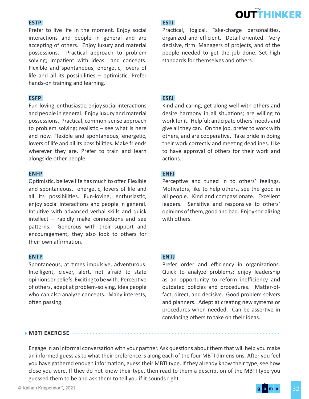#### **ESTP**

Prefer to live life in the moment. Enjoy social interactions and people in general and are accepting of others. Enjoy luxury and material possessions. Practical approach to problem solving; impatient with ideas and concepts. Flexible and spontaneous, energetic, lovers of life and all its possibilities – optimistic. Prefer hands-on training and learning.

#### **ESFP**

Fun-loving, enthusiastic, enjoy social interactions and people in general. Enjoy luxury and material possessions. Practical, common-sense approach to problem solving; realistic  $-$  see what is here and now. Flexible and spontaneous, energetic, lovers of life and all its possibilities. Make friends wherever they are. Prefer to train and learn alongside other people.

#### **ENFP**

Optimistic, believe life has much to offer. Flexible and spontaneous, energetic, lovers of life and all its possibilities. Fun-loving, enthusiastic, enjoy social interactions and people in general. Intuitive with advanced verbal skills and quick intellect – rapidly make connections and see patterns. Generous with their support and encouragement, they also look to others for their own affirmation.

#### **ENTP**

Spontaneous, at times impulsive, adventurous. Intelligent, clever, alert, not afraid to state opinions or beliefs. Exciting to be with. Perceptive of others, adept at problem-solving. Idea people who can also analyze concepts. Many interests, often passing.

#### **ESTJ**

Practical, logical. Take-charge personalities, organized and efficient. Detail oriented. Very decisive, firm. Managers of projects, and of the people needed to get the job done. Set high standards for themselves and others.

**OUTTHINKER** 

#### **ESFJ**

Kind and caring, get along well with others and desire harmony in all situations; are willing to work for it. Helpful; anticipate others' needs and give all they can. On the job, prefer to work with others, and are cooperative. Take pride in doing their work correctly and meeting deadlines. Like to have approval of others for their work and actions.

#### **ENFJ**

Perceptive and tuned in to others' feelings. Motivators, like to help others, see the good in all people. Kind and compassionate. Excellent leaders. Sensitive and responsive to others' opinions of them, good and bad. Enjoy socializing with others.

#### **ENTJ**

Prefer order and efficiency in organizations. Quick to analyze problems; enjoy leadership as an opportunity to reform inefficiency and outdated policies and procedures. Matter-offact, direct, and decisive. Good problem solvers and planners. Adept at creating new systems or procedures when needed. Can be assertive in convincing others to take on their ideas.

#### **MBTI EXERCISE**

Engage in an informal conversation with your partner. Ask questions about them that will help you make an informed guess as to what their preference is along each of the four MBTI dimensions. After you feel you have gathered enough information, guess their MBTI type. If they already know their type, see how close you were. If they do not know their type, then read to them a description of the MBTI type you guessed them to be and ask them to tell you if it sounds right.

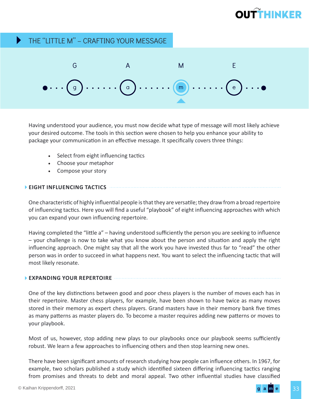#### THE "LITTLE M" – CRAFTING YOUR MESSAGE  $\blacktriangleright$



Having understood your audience, you must now decide what type of message will most likely achieve your desired outcome. The tools in this section were chosen to help you enhance your ability to package your communication in an effective message. It specifically covers three things:

- Select from eight influencing tactics
- Choose your metaphor
- Compose your story

#### **EIGHT INFLUENCING TACTICS**

One characteristic of highly influential people is that they are versatile; they draw from a broad repertoire of influencing tactics. Here you will find a useful "playbook" of eight influencing approaches with which you can expand your own influencing repertoire.

Having completed the "little a" – having understood sufficiently the person you are seeking to influence – your challenge is now to take what you know about the person and situation and apply the right influencing approach. One might say that all the work you have invested thus far to "read" the other person was in order to succeed in what happens next. You want to select the influencing tactic that will most likely resonate.

#### **EXPANDING YOUR REPERTOIRE**

One of the key distinctions between good and poor chess players is the number of moves each has in their repertoire. Master chess players, for example, have been shown to have twice as many moves stored in their memory as expert chess players. Grand masters have in their memory bank five times as many patterns as master players do. To become a master requires adding new patterns or moves to your playbook.

Most of us, however, stop adding new plays to our playbooks once our playbook seems sufficiently robust. We learn a few approaches to influencing others and then stop learning new ones.

There have been significant amounts of research studying how people can influence others. In 1967, for example, two scholars published a study which identified sixteen differing influencing tactics ranging from promises and threats to debt and moral appeal. Two other influential studies have classified

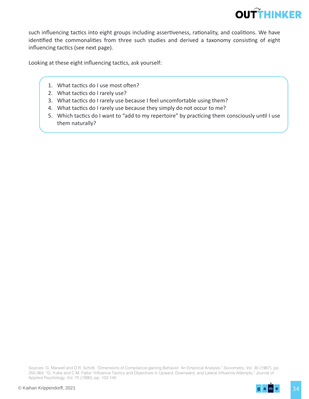

such influencing tactics into eight groups including assertiveness, rationality, and coalitions. We have identified the commonalities from three such studies and derived a taxonomy consisting of eight influencing tactics (see next page).

Looking at these eight influencing tactics, ask yourself:

- 1. What tactics do I use most often?
- 2. What tactics do I rarely use?
- 3. What tactics do I rarely use because I feel uncomfortable using them?
- 4. What tactics do I rarely use because they simply do not occur to me?
- 5. Which tactics do I want to "add to my repertoire" by practicing them consciously until I use them naturally?

Sources: G. Marwell and D.R. Schidt, "Dimensions of Compliance-gaining Behavior: An Empirical Analysis," Sociometry, Vol. 30 (1967), pp. 350-364; "G. Yulke and C.M. Falbe "Influence Tactics and Objectives in Upward, Downward, and Lateral Influence Attempts," Journal of Applied Psychology, Vol. 75 (1990), pp. 132-140

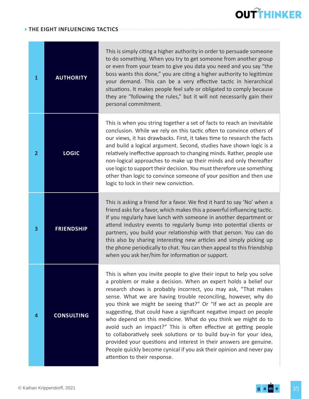#### **THE EIGHT INFLUENCING TACTICS**

| 1              | <b>AUTHORITY</b>  | This is simply citing a higher authority in order to persuade someone<br>to do something. When you try to get someone from another group<br>or even from your team to give you data you need and you say "the<br>boss wants this done," you are citing a higher authority to legitimize<br>your demand. This can be a very effective tactic in hierarchical<br>situations. It makes people feel safe or obligated to comply because<br>they are "following the rules," but it will not necessarily gain their<br>personal commitment.                                                                                                                                                                                                                                                                           |
|----------------|-------------------|-----------------------------------------------------------------------------------------------------------------------------------------------------------------------------------------------------------------------------------------------------------------------------------------------------------------------------------------------------------------------------------------------------------------------------------------------------------------------------------------------------------------------------------------------------------------------------------------------------------------------------------------------------------------------------------------------------------------------------------------------------------------------------------------------------------------|
| $\overline{2}$ | <b>LOGIC</b>      | This is when you string together a set of facts to reach an inevitable<br>conclusion. While we rely on this tactic often to convince others of<br>our views, it has drawbacks. First, it takes time to research the facts<br>and build a logical argument. Second, studies have shown logic is a<br>relatively ineffective approach to changing minds. Rather, people use<br>non-logical approaches to make up their minds and only thereafter<br>use logic to support their decision. You must therefore use something<br>other than logic to convince someone of your position and then use<br>logic to lock in their new conviction.                                                                                                                                                                         |
| 3              | <b>FRIENDSHIP</b> | This is asking a friend for a favor. We find it hard to say 'No' when a<br>friend asks for a favor, which makes this a powerful influencing tactic.<br>If you regularly have lunch with someone in another department or<br>attend industry events to regularly bump into potential clients or<br>partners, you build your relationship with that person. You can do<br>this also by sharing interesting new articles and simply picking up<br>the phone periodically to chat. You can then appeal to this friendship<br>when you ask her/him for information or support.                                                                                                                                                                                                                                       |
| 4              | <b>CONSULTING</b> | This is when you invite people to give their input to help you solve<br>a problem or make a decision. When an expert holds a belief our<br>research shows is probably incorrect, you may ask, "That makes<br>sense. What we are having trouble reconciling, however, why do<br>you think we might be seeing that?" Or "If we act as people are<br>suggesting, that could have a significant negative impact on people<br>who depend on this medicine. What do you think we might do to<br>avoid such an impact?" This is often effective at getting people<br>to collaboratively seek solutions or to build buy-in for your idea,<br>provided your questions and interest in their answers are genuine.<br>People quickly become cynical if you ask their opinion and never pay<br>attention to their response. |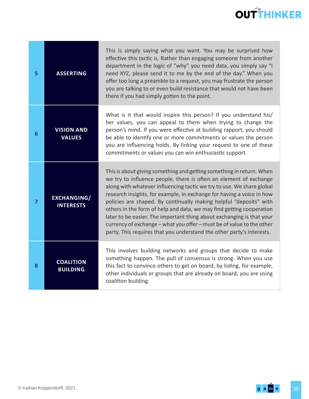| 5              | <b>ASSERTING</b>                       | This is simply saying what you want. You may be surprised how<br>effective this tactic is. Rather than engaging someone from another<br>department in the logic of "why" you need data, you simply say "I<br>need XYZ, please send it to me by the end of the day." When you<br>offer too long a preamble to a request, you may frustrate the person<br>you are talking to or even build resistance that would not have been<br>there if you had simply gotten to the point.                                                                                                                                                                                         |
|----------------|----------------------------------------|----------------------------------------------------------------------------------------------------------------------------------------------------------------------------------------------------------------------------------------------------------------------------------------------------------------------------------------------------------------------------------------------------------------------------------------------------------------------------------------------------------------------------------------------------------------------------------------------------------------------------------------------------------------------|
| 6              | <b>VISION AND</b><br><b>VALUES</b>     | What is it that would inspire this person? If you understand his/<br>her values, you can appeal to them when trying to change the<br>person's mind. If you were effective at building rapport, you should<br>be able to identify one or more commitments or values the person<br>you are influencing holds. By linking your request to one of these<br>commitments or values you can win enthusiastic support.                                                                                                                                                                                                                                                       |
| $\overline{7}$ | <b>EXCHANGING/</b><br><b>INTERESTS</b> | This is about giving something and getting something in return. When<br>we try to influence people, there is often an element of exchange<br>along with whatever influencing tactic we try to use. We share global<br>research insights, for example, in exchange for having a voice in how<br>policies are shaped. By continually making helpful "deposits" with<br>others in the form of help and data, we may find getting cooperation<br>later to be easier. The important thing about exchanging is that your<br>currency of exchange - what you offer - must be of value to the other<br>party. This requires that you understand the other party's interests. |
| 8              | <b>COALITION</b><br><b>BUILDING</b>    | This involves building networks and groups that decide to make<br>something happen. The pull of consensus is strong. When you use<br>this fact to convince others to get on board, by listing, for example,<br>other individuals or groups that are already on board, you are using<br>coalition building.                                                                                                                                                                                                                                                                                                                                                           |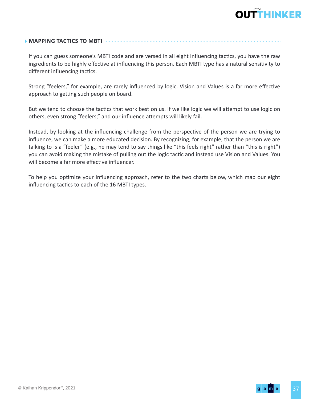

### **MAPPING TACTICS TO MBTI**

If you can guess someone's MBTI code and are versed in all eight influencing tactics, you have the raw ingredients to be highly effective at influencing this person. Each MBTI type has a natural sensitivity to different influencing tactics.

Strong "feelers," for example, are rarely influenced by logic. Vision and Values is a far more effective approach to getting such people on board.

But we tend to choose the tactics that work best on us. If we like logic we will attempt to use logic on others, even strong "feelers," and our influence attempts will likely fail.

Instead, by looking at the influencing challenge from the perspective of the person we are trying to influence, we can make a more educated decision. By recognizing, for example, that the person we are talking to is a "feeler" (e.g., he may tend to say things like "this feels right" rather than "this is right") you can avoid making the mistake of pulling out the logic tactic and instead use Vision and Values. You will become a far more effective influencer.

To help you optimize your influencing approach, refer to the two charts below, which map our eight influencing tactics to each of the 16 MBTI types.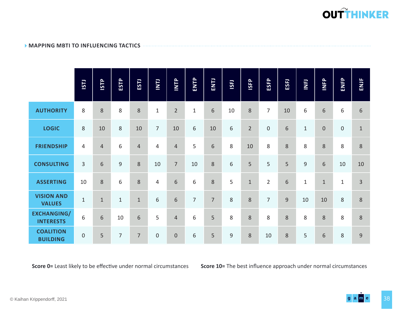

#### **MAPPING MBTI TO INFLUENCING TACTICS**

|                                        | ISTJ             | <b>ISTP</b>    | ESTP           | ESTJ           | $\overline{L}$   | INTP             | ENTP           | ENTJ           | <b>ISFJ</b> | <b>ISFP</b>    | ESFP             | ESFJ | <b>INFJ</b>  | INFP           | ENFP         | ENJF           |
|----------------------------------------|------------------|----------------|----------------|----------------|------------------|------------------|----------------|----------------|-------------|----------------|------------------|------|--------------|----------------|--------------|----------------|
| <b>AUTHORITY</b>                       | 8                | 8              | 8              | 8              | $\mathbf{1}$     | $\overline{2}$   | $\mathbf{1}$   | $6\phantom{1}$ | 10          | 8              | $\overline{7}$   | 10   | 6            | 6              | 6            | $6\phantom{1}$ |
| <b>LOGIC</b>                           | 8                | 10             | 8              | 10             | $\overline{7}$   | 10               | 6              | 10             | 6           | $\overline{2}$ | $\boldsymbol{0}$ | 6    | $\mathbf{1}$ | $\overline{0}$ | $\mathbf 0$  | $\mathbf{1}$   |
| <b>FRIENDSHIP</b>                      | 4                | $\overline{4}$ | 6              | $\overline{4}$ | 4                | $\overline{4}$   | 5              | 6              | 8           | 10             | 8                | 8    | 8            | 8              | 8            | $8\phantom{1}$ |
| <b>CONSULTING</b>                      | 3                | $\sqrt{6}$     | $\overline{9}$ | 8              | 10               | $\overline{7}$   | 10             | $\,8$          | 6           | 5              | 5                | 5    | 9            | 6              | 10           | 10             |
| <b>ASSERTING</b>                       | 10               | 8              | 6              | 8              | 4                | 6                | 6              | 8              | 5           | $\mathbf{1}$   | $\overline{2}$   | 6    | $\mathbf{1}$ | $\mathbf{1}$   | $\mathbf{1}$ | $\overline{3}$ |
| <b>VISION AND</b><br><b>VALUES</b>     | $\mathbf{1}$     | $\mathbf{1}$   | $\mathbf{1}$   | $\mathbf 1$    | 6                | 6                | $\overline{7}$ | $\overline{7}$ | 8           | 8              | $\overline{7}$   | 9    | 10           | 10             | 8            | 8              |
| <b>EXCHANGING/</b><br><b>INTERESTS</b> | 6                | 6              | 10             | 6              | 5                | $\overline{4}$   | 6              | 5              | 8           | 8              | 8                | 8    | 8            | 8              | 8            | 8              |
| <b>COALITION</b><br><b>BUILDING</b>    | $\boldsymbol{0}$ | 5              | $\overline{7}$ | $\overline{7}$ | $\boldsymbol{0}$ | $\boldsymbol{0}$ | 6              | 5              | $\mathsf 9$ | 8              | 10               | 8    | 5            | 6              | 8            | 9              |

**Score 0=** Least likely to be effective under normal circumstances **Score 10=** The best influence approach under normal circumstances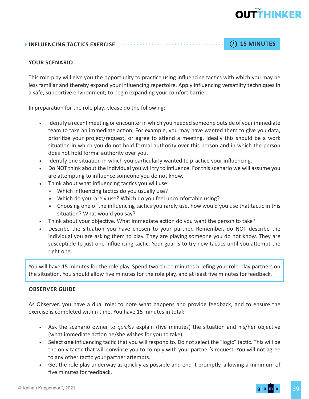### **INFLUENCING TACTICS EXERCISE 15 MINUTES** 15 MINUTES

#### **YOUR SCENARIO**

This role play will give you the opportunity to practice using influencing tactics with which you may be less familiar and thereby expand your influencing repertoire. Apply influencing versatility techniques in a safe, supportive environment, to begin expanding your comfort barrier.

In preparation for the role play, please do the following:

- Identify a recent meeting or encounter in which you needed someone outside of your immediate team to take an immediate action. For example, you may have wanted them to give you data, prioritize your project/request, or agree to attend a meeting. Ideally this should be a work situation in which you do not hold formal authority over this person and in which the person does not hold formal authority over you.
- Identify one situation in which you particularly wanted to practice your influencing.
- Do NOT think about the individual you will try to influence. For this scenario we will assume you are attempting to influence someone you do not know.
- Think about what influencing tactics you will use:
	- » Which influencing tactics do you usually use?
	- » Which do you rarely use? Which do you feel uncomfortable using?
	- » Choosing one of the influencing tactics you rarely use, how would you use that tactic in this situation? What would you say?
- Think about your objective. What immediate action do you want the person to take?
- Describe the situation you have chosen to your partner. Remember, do NOT describe the individual you are asking them to play. They are playing someone you do not know. They are susceptible to just one influencing tactic. Your goal is to try new tactics until you attempt the right one.

You will have 15 minutes for the role play. Spend two-three minutes briefing your role-play partners on the situation. You should allow five minutes for the role play, and at least five minutes for feedback.

#### **OBSERVER GUIDE**

As Observer, you have a dual role: to note what happens and provide feedback, and to ensure the exercise is completed within time. You have 15 minutes in total:

- Ask the scenario owner to *quickly* explain (five minutes) the situation and his/her objective (what immediate action he/she wishes for you to take).
- Select **one** influencing tactic that you will respond to. Do not select the "logic" tactic. This will be the only tactic that will convince you to comply with your partner's request. You will not agree to any other tactic your partner attempts.
- Get the role play underway as quickly as possible and end it promptly, allowing a minimum of five minutes for feedback.

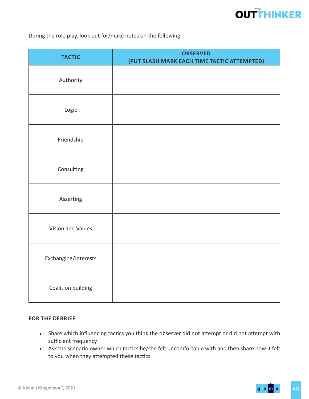During the role play, look out for/make notes on the following:

| <b>TACTIC</b>        | <b>OBSERVED</b><br>(PUT SLASH MARK EACH TIME TACTIC ATTEMPTED) |
|----------------------|----------------------------------------------------------------|
| Authority            |                                                                |
| Logic                |                                                                |
| Friendship           |                                                                |
| Consulting           |                                                                |
| Asserting            |                                                                |
| Vision and Values    |                                                                |
| Exchanging/Interests |                                                                |
| Coalition building   |                                                                |

#### **FOR THE DEBRIEF**

- Share which influencing tactics you think the observer did not attempt or did not attempt with sufficient frequency
- Ask the scenario owner which tactics he/she felt uncomfortable with and then share how it felt to you when they attempted these tactics

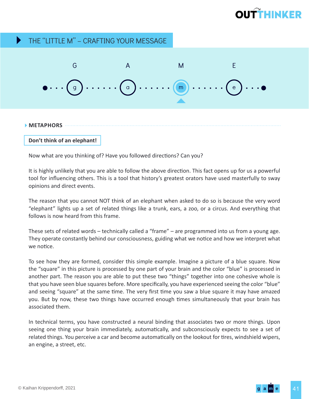#### THE "LITTLE M" – CRAFTING YOUR MESSAGE  $\blacktriangleright$



**METAPHORS**

**Don't think of an elephant!**

Now what are you thinking of? Have you followed directions? Can you?

It is highly unlikely that you are able to follow the above direction. This fact opens up for us a powerful tool for influencing others. This is a tool that history's greatest orators have used masterfully to sway opinions and direct events.

The reason that you cannot NOT think of an elephant when asked to do so is because the very word "elephant" lights up a set of related things like a trunk, ears, a zoo, or a circus. And everything that follows is now heard from this frame.

These sets of related words – technically called a "frame" – are programmed into us from a young age. They operate constantly behind our consciousness, guiding what we notice and how we interpret what we notice.

To see how they are formed, consider this simple example. Imagine a picture of a blue square. Now the "square" in this picture is processed by one part of your brain and the color "blue" is processed in another part. The reason you are able to put these two "things" together into one cohesive whole is that you have seen blue squares before. More specifically, you have experienced seeing the color "blue" and seeing "square" at the same time. The very first time you saw a blue square it may have amazed you. But by now, these two things have occurred enough times simultaneously that your brain has associated them.

In technical terms, you have constructed a neural binding that associates two or more things. Upon seeing one thing your brain immediately, automatically, and subconsciously expects to see a set of related things. You perceive a car and become automatically on the lookout for tires, windshield wipers, an engine, a street, etc.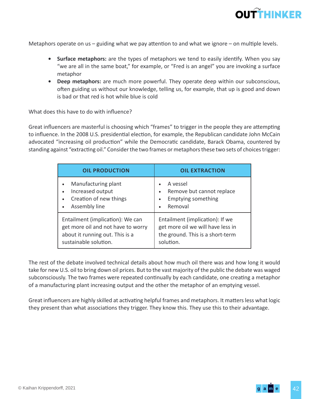

Metaphors operate on us – guiding what we pay attention to and what we ignore – on multiple levels.

- **• Surface metaphors:** are the types of metaphors we tend to easily identify. When you say "we are all in the same boat," for example, or "Fred is an angel" you are invoking a surface metaphor
- **• Deep metaphors:** are much more powerful. They operate deep within our subconscious, often guiding us without our knowledge, telling us, for example, that up is good and down is bad or that red is hot while blue is cold

What does this have to do with influence?

Great influencers are masterful is choosing which "frames" to trigger in the people they are attempting to influence. In the 2008 U.S. presidential election, for example, the Republican candidate John McCain advocated "increasing oil production" while the Democratic candidate, Barack Obama, countered by standing against "extracting oil." Consider the two frames or metaphors these two sets of choices trigger:

| <b>OIL PRODUCTION</b>                                                                                                              | <b>OIL EXTRACTION</b>                                                                                                 |  |
|------------------------------------------------------------------------------------------------------------------------------------|-----------------------------------------------------------------------------------------------------------------------|--|
| Manufacturing plant<br>Increased output<br>Creation of new things<br>Assembly line                                                 | A vessel<br>Remove but cannot replace<br>$\bullet$<br><b>Emptying something</b><br>$\bullet$<br>Removal<br>$\bullet$  |  |
| Entailment (implication): We can<br>get more oil and not have to worry<br>about it running out. This is a<br>sustainable solution. | Entailment (implication): If we<br>get more oil we will have less in<br>the ground. This is a short-term<br>solution. |  |

The rest of the debate involved technical details about how much oil there was and how long it would take for new U.S. oil to bring down oil prices. But to the vast majority of the public the debate was waged subconsciously. The two frames were repeated continually by each candidate, one creating a metaphor of a manufacturing plant increasing output and the other the metaphor of an emptying vessel.

Great influencers are highly skilled at activating helpful frames and metaphors. It matters less what logic they present than what associations they trigger. They know this. They use this to their advantage.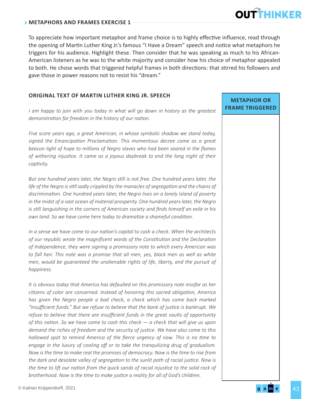To appreciate how important metaphor and frame choice is to highly effective influence, read through the opening of Martin Luther King Jr.'s famous "I Have a Dream" speech and notice what metaphors he triggers for his audience. Highlight these. Then consider that he was speaking as much to his African-American listeners as he was to the white majority and consider how his choice of metaphor appealed to both. He chose words that triggered helpful frames in both directions: that stirred his followers and gave those in power reasons not to resist his "dream."

### **ORIGINAL TEXT OF MARTIN LUTHER KING JR. SPEECH**

*I am happy to join with you today in what will go down in history as the greatest demonstration for freedom in the history of our nation.*

*Five score years ago, a great American, in whose symbolic shadow we stand today, signed the Emancipation Proclamation. This momentous decree came as a great beacon light of hope to millions of Negro slaves who had been seared in the flames of withering injustice. It came as a joyous daybreak to end the long night of their captivity.*

*But one hundred years later, the Negro still is not free. One hundred years later, the life of the Negro is still sadly crippled by the manacles of segregation and the chains of discrimination. One hundred years later, the Negro lives on a lonely island of poverty in the midst of a vast ocean of material prosperity. One hundred years later, the Negro is still languishing in the corners of American society and finds himself an exile in his own land. So we have come here today to dramatize a shameful condition.*

*In a sense we have come to our nation's capital to cash a check. When the architects of our republic wrote the magnificent words of the Constitution and the Declaration of Independence, they were signing a promissory note to which every American was*  to fall heir. This note was a promise that all men, yes, black men as well as white *men, would be guaranteed the unalienable rights of life, liberty, and the pursuit of happiness.*

*It is obvious today that America has defaulted on this promissory note insofar as her citizens of color are concerned. Instead of honoring this sacred obligation, America has given the Negro people a bad check, a check which has come back marked "insufficient funds." But we refuse to believe that the bank of justice is bankrupt. We refuse to believe that there are insufficient funds in the great vaults of opportunity of this nation. So we have come to cash this check — a check that will give us upon demand the riches of freedom and the security of justice. We have also come to this hallowed spot to remind America of the fierce urgency of now. This is no time to engage in the luxury of cooling off or to take the tranquilizing drug of gradualism. Now is the time to make real the promises of democracy. Now is the time to rise from the dark and desolate valley of segregation to the sunlit path of racial justice. Now is the time to lift our nation from the quick sands of racial injustice to the solid rock of brotherhood. Now is the time to make justice a reality for all of God's children.*

### **METAPHOR OR FRAME TRIGGERED**

**OUTTHINKER**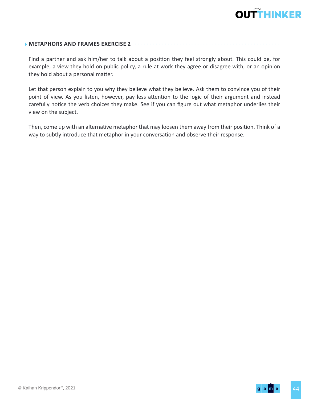

#### **METAPHORS AND FRAMES EXERCISE 2**

Find a partner and ask him/her to talk about a position they feel strongly about. This could be, for example, a view they hold on public policy, a rule at work they agree or disagree with, or an opinion they hold about a personal matter.

Let that person explain to you why they believe what they believe. Ask them to convince you of their point of view. As you listen, however, pay less attention to the logic of their argument and instead carefully notice the verb choices they make. See if you can figure out what metaphor underlies their view on the subject.

Then, come up with an alternative metaphor that may loosen them away from their position. Think of a way to subtly introduce that metaphor in your conversation and observe their response.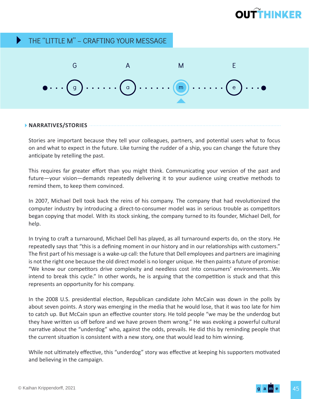#### THE "LITTLE M" – CRAFTING YOUR MESSAGE  $\blacktriangleright$



#### **NARRATIVES/STORIES**

Stories are important because they tell your colleagues, partners, and potential users what to focus on and what to expect in the future. Like turning the rudder of a ship, you can change the future they anticipate by retelling the past.

This requires far greater effort than you might think. Communicating your version of the past and future—your vision—demands repeatedly delivering it to your audience using creative methods to remind them, to keep them convinced.

In 2007, Michael Dell took back the reins of his company. The company that had revolutionized the computer industry by introducing a direct-to-consumer model was in serious trouble as competitors began copying that model. With its stock sinking, the company turned to its founder, Michael Dell, for help.

In trying to craft a turnaround, Michael Dell has played, as all turnaround experts do, on the story. He repeatedly says that "this is a defining moment in our history and in our relationships with customers." The first part of his message is a wake-up call: the future that Dell employees and partners are imagining is not the right one because the old direct model is no longer unique. He then paints a future of promise: "We know our competitors drive complexity and needless cost into consumers' environments...We intend to break this cycle." In other words, he is arguing that the competition is stuck and that this represents an opportunity for his company.

In the 2008 U.S. presidential election, Republican candidate John McCain was down in the polls by about seven points. A story was emerging in the media that he would lose, that it was too late for him to catch up. But McCain spun an effective counter story. He told people "we may be the underdog but they have written us off before and we have proven them wrong." He was evoking a powerful cultural narrative about the "underdog" who, against the odds, prevails. He did this by reminding people that the current situation is consistent with a new story, one that would lead to him winning.

While not ultimately effective, this "underdog" story was effective at keeping his supporters motivated and believing in the campaign.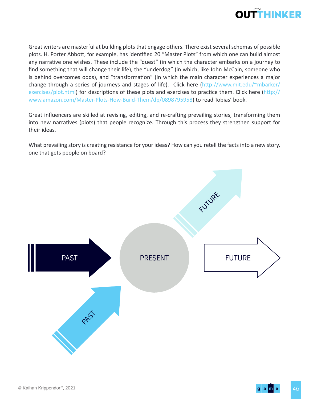

Great writers are masterful at building plots that engage others. There exist several schemas of possible plots. H. Porter Abbott, for example, has identified 20 "Master Plots" from which one can build almost any narrative one wishes. These include the "quest" (in which the character embarks on a journey to find something that will change their life), the "underdog" (in which, like John McCain, someone who is behind overcomes odds), and "transformation" (in which the main character experiences a major change through a series of journeys and stages of life). Click here (http://www.mit.edu/~mbarker/ exercises/plot.html) for descriptions of these plots and exercises to practice them. Click here (http:// www.amazon.com/Master-Plots-How-Build-Them/dp/0898795958) to read Tobias' book.

Great influencers are skilled at revising, editing, and re-crafting prevailing stories, transforming them into new narratives (plots) that people recognize. Through this process they strengthen support for their ideas.

What prevailing story is creating resistance for your ideas? How can you retell the facts into a new story, one that gets people on board?

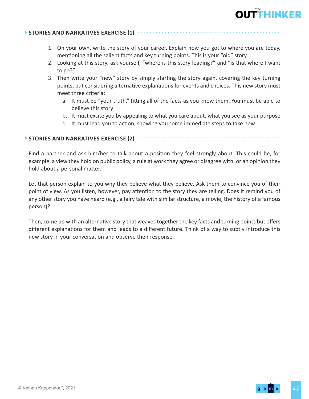

#### **STORIES AND NARRATIVES EXERCISE (1)**

- 1. On your own, write the story of your career. Explain how you got to where you are today, mentioning all the salient facts and key turning points. This is your "old" story.
- 2. Looking at this story, ask yourself, "where is this story leading?" and "is that where I want to go?"
- 3. Then write your "new" story by simply starting the story again, covering the key turning points, but considering alternative explanations for events and choices. This new story must meet three criteria:
	- a. It must be "your truth," fitting all of the facts as you know them. You must be able to believe this story
	- b. It must excite you by appealing to what you care about, what you see as your purpose
	- c. It must lead you to action, showing you some immediate steps to take now

#### **STORIES AND NARRATIVES EXERCISE (2)**

Find a partner and ask him/her to talk about a position they feel strongly about. This could be, for example, a view they hold on public policy, a rule at work they agree or disagree with, or an opinion they hold about a personal matter.

Let that person explain to you why they believe what they believe. Ask them to convince you of their point of view. As you listen, however, pay attention to the story they are telling. Does it remind you of any other story you have heard (e.g., a fairy tale with similar structure, a movie, the history of a famous person)?

Then, come up with an alternative story that weaves together the key facts and turning points but offers different explanations for them and leads to a different future. Think of a way to subtly introduce this new story in your conversation and observe their response.

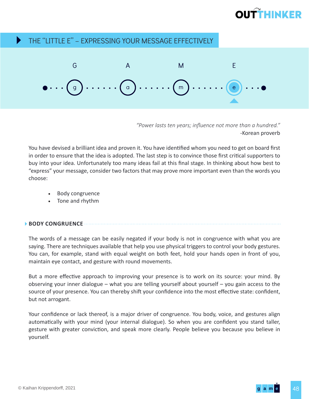#### THE "LITTLE E" – EXPRESSING YOUR MESSAGE EFFECTIVELY Þ



*"Power lasts ten years; influence not more than a hundred."* -Korean proverb

You have devised a brilliant idea and proven it. You have identified whom you need to get on board first in order to ensure that the idea is adopted. The last step is to convince those first critical supporters to buy into your idea. Unfortunately too many ideas fail at this final stage. In thinking about how best to "express" your message, consider two factors that may prove more important even than the words you choose:

- Body congruence
- Tone and rhythm

### **BODY CONGRUENCE**

The words of a message can be easily negated if your body is not in congruence with what you are saying. There are techniques available that help you use physical triggers to control your body gestures. You can, for example, stand with equal weight on both feet, hold your hands open in front of you, maintain eye contact, and gesture with round movements.

But a more effective approach to improving your presence is to work on its source: your mind. By observing your inner dialogue – what you are telling yourself about yourself – you gain access to the source of your presence. You can thereby shift your confidence into the most effective state: confident, but not arrogant.

Your confidence or lack thereof, is a major driver of congruence. You body, voice, and gestures align automatically with your mind (your internal dialogue). So when you are confident you stand taller, gesture with greater conviction, and speak more clearly. People believe you because you believe in yourself.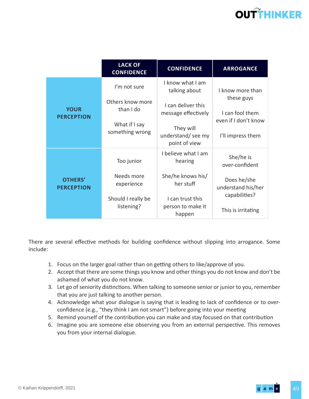|                                     | <b>LACK OF</b><br><b>CONFIDENCE</b>                               | <b>CONFIDENCE</b>                                                                             | <b>ARROGANCE</b>                                                           |
|-------------------------------------|-------------------------------------------------------------------|-----------------------------------------------------------------------------------------------|----------------------------------------------------------------------------|
| <b>YOUR</b><br><b>PERCEPTION</b>    | I'm not sure                                                      | I know what I am<br>talking about                                                             | I know more than                                                           |
|                                     | Others know more<br>than I do<br>What if I say<br>something wrong | I can deliver this<br>message effectively<br>They will<br>understand/ see my<br>point of view | these guys<br>I can fool them<br>even if I don't know<br>I'll impress them |
| <b>OTHERS'</b><br><b>PERCEPTION</b> | Too junior                                                        | I believe what I am<br>hearing                                                                | She/he is<br>over-confident                                                |
|                                     | Needs more<br>experience                                          | She/he knows his/<br>her stuff                                                                | Does he/she<br>understand his/her                                          |
|                                     | Should I really be<br>listening?                                  | I can trust this<br>person to make it<br>happen                                               | capabilities?<br>This is irritating                                        |

There are several effective methods for building confidence without slipping into arrogance. Some include:

- 1. Focus on the larger goal rather than on getting others to like/approve of you.
- 2. Accept that there are some things you know and other things you do not know and don't be ashamed of what you do not know.
- 3. Let go of seniority distinctions. When talking to someone senior or junior to you, remember that you are just talking to another person.
- 4. Acknowledge what your dialogue is saying that is leading to lack of confidence or to overconfidence (e.g., "they think I am not smart") before going into your meeting
- 5. Remind yourself of the contribution you can make and stay focused on that contribution
- 6. Imagine you are someone else observing you from an external perspective. This removes you from your internal dialogue.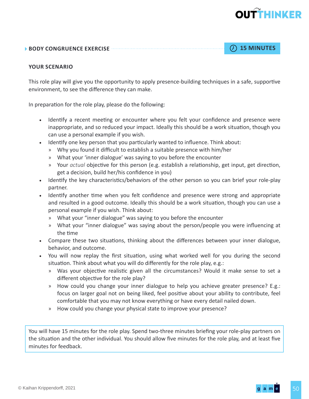#### **BODY CONGRUENCE EXERCISE 15 MINUTES**

#### **YOUR SCENARIO**

This role play will give you the opportunity to apply presence-building techniques in a safe, supportive environment, to see the difference they can make.

In preparation for the role play, please do the following:

- Identify a recent meeting or encounter where you felt your confidence and presence were inappropriate, and so reduced your impact. Ideally this should be a work situation, though you can use a personal example if you wish.
- Identify one key person that you particularly wanted to influence. Think about:
	- » Why you found it difficult to establish a suitable presence with him/her
	- » What your 'inner dialogue' was saying to you before the encounter
	- » Your *actual* objective for this person (e.g. establish a relationship, get input, get direction, get a decision, build her/his confidence in you)
- Identify the key characteristics/behaviors of the other person so you can brief your role-play partner.
- Identify another time when you felt confidence and presence were strong and appropriate and resulted in a good outcome. Ideally this should be a work situation, though you can use a personal example if you wish. Think about:
	- » What your "inner dialogue" was saying to you before the encounter
	- » What your "inner dialogue" was saying about the person/people you were influencing at the time
- Compare these two situations, thinking about the differences between your inner dialogue, behavior, and outcome.
- You will now replay the first situation, using what worked well for you during the second situation. Think about what you will do differently for the role play, e.g.:
	- » Was your objective realistic given all the circumstances? Would it make sense to set a different objective for the role play?
	- » How could you change your inner dialogue to help you achieve greater presence? E.g.: focus on larger goal not on being liked, feel positive about your ability to contribute, feel comfortable that you may not know everything or have every detail nailed down.
	- » How could you change your physical state to improve your presence?

You will have 15 minutes for the role play. Spend two-three minutes briefing your role-play partners on the situation and the other individual. You should allow five minutes for the role play, and at least five minutes for feedback.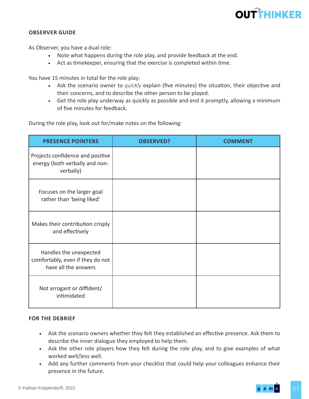#### **OBSERVER GUIDE**

As Observer, you have a dual role:

- Note what happens during the role play, and provide feedback at the end.
- Act as timekeeper, ensuring that the exercise is completed within time.

You have 15 minutes in total for the role play:

- Ask the scenario owner to *quickly* explain (five minutes) the situation, their objective and their concerns, and to describe the other person to be played.
- Get the role play underway as quickly as possible and end it promptly, allowing a minimum of five minutes for feedback.

During the role play, look out for/make notes on the following:

| <b>PRESENCE POINTERS</b>                                                           | <b>OBSERVED?</b> |  |
|------------------------------------------------------------------------------------|------------------|--|
| Projects confidence and positive<br>energy (both verbally and non-<br>verbally)    |                  |  |
| Focuses on the larger goal<br>rather than 'being liked'                            |                  |  |
| Makes their contribution crisply<br>and effectively                                |                  |  |
| Handles the unexpected<br>comfortably, even if they do not<br>have all the answers |                  |  |
| Not arrogant or diffident/<br>intimidated                                          |                  |  |

#### **FOR THE DEBRIEF**

- Ask the scenario owners whether they felt they established an effective presence. Ask them to describe the inner dialogue they employed to help them.
- Ask the other role players how they felt during the role play, and to give examples of what worked well/less well.
- Add any further comments from your checklist that could help your colleagues enhance their presence in the future.

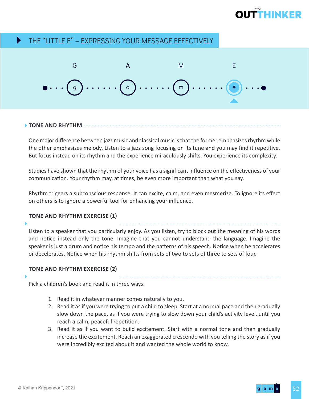# **OUTTHINKED**

#### THE "LITTLE E" – EXPRESSING YOUR MESSAGE EFFECTIVELY Þ



#### **TONE AND RHYTHM**

One major difference between jazz music and classical music is that the former emphasizes rhythm while the other emphasizes melody. Listen to a jazz song focusing on its tune and you may find it repetitive. But focus instead on its rhythm and the experience miraculously shifts. You experience its complexity.

Studies have shown that the rhythm of your voice has a significant influence on the effectiveness of your communication. Your rhythm may, at times, be even more important than what you say.

Rhythm triggers a subconscious response. It can excite, calm, and even mesmerize. To ignore its effect on others is to ignore a powerful tool for enhancing your influence.

#### **TONE AND RHYTHM EXERCISE (1)**

### Listen to a speaker that you particularly enjoy. As you listen, try to block out the meaning of his words and notice instead only the tone. Imagine that you cannot understand the language. Imagine the speaker is just a drum and notice his tempo and the patterns of his speech. Notice when he accelerates or decelerates. Notice when his rhythm shifts from sets of two to sets of three to sets of four.

#### **TONE AND RHYTHM EXERCISE (2)**

Pick a children's book and read it in three ways:

- 1. Read it in whatever manner comes naturally to you.
- 2. Read it as if you were trying to put a child to sleep. Start at a normal pace and then gradually slow down the pace, as if you were trying to slow down your child's activity level, until you reach a calm, peaceful repetition.
- 3. Read it as if you want to build excitement. Start with a normal tone and then gradually increase the excitement. Reach an exaggerated crescendo with you telling the story as if you were incredibly excited about it and wanted the whole world to know.